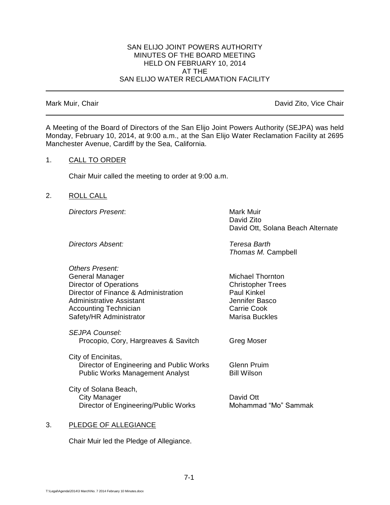## SAN ELIJO JOINT POWERS AUTHORITY MINUTES OF THE BOARD MEETING HELD ON FEBRUARY 10, 2014 AT THE SAN ELIJO WATER RECLAMATION FACILITY

Mark Muir, Chair **David Zito, Vice Chair** David Zito, Vice Chair

A Meeting of the Board of Directors of the San Elijo Joint Powers Authority (SEJPA) was held Monday, February 10, 2014, at 9:00 a.m., at the San Elijo Water Reclamation Facility at 2695 Manchester Avenue, Cardiff by the Sea, California.

## 1. CALL TO ORDER

Chair Muir called the meeting to order at 9:00 a.m.

2. ROLL CALL

**Directors Present:** Mark Muir

David Zito David Ott, Solana Beach Alternate

*Directors Absent: Teresa Barth*

*Thomas M.* Campbell

Michael Thornton **Christopher Trees** 

| <b>Others Present:</b>               |
|--------------------------------------|
| General Manager                      |
| <b>Director of Operations</b>        |
| Director of Finance & Administration |
| <b>Administrative Assistant</b>      |
| <b>Accounting Technician</b>         |
| Safety/HR Administrator              |
|                                      |

*SEJPA Counsel:* Procopio, Cory, Hargreaves & Savitch Greg Moser

City of Encinitas, Director of Engineering and Public Works Glenn Pruim Public Works Management Analyst Bill Wilson

City of Solana Beach, City Manager David Ott Director of Engineering/Public Works Mohammad "Mo" Sammak

Paul Kinkel Jennifer Basco Carrie Cook **Marisa Buckles** 

### 3. PLEDGE OF ALLEGIANCE

Chair Muir led the Pledge of Allegiance.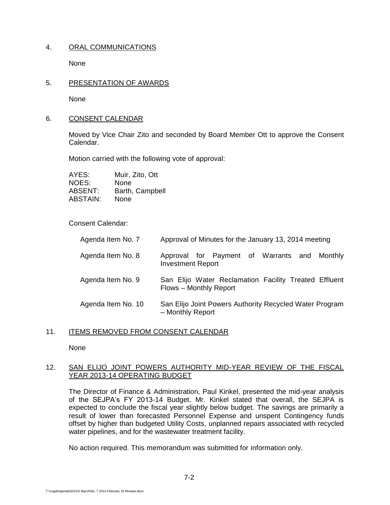# 4. ORAL COMMUNICATIONS

None

## 5. PRESENTATION OF AWARDS

None

## 6. CONSENT CALENDAR

Moved by Vice Chair Zito and seconded by Board Member Ott to approve the Consent Calendar.

Motion carried with the following vote of approval:

AYES: Muir, Zito, Ott NOES: None ABSENT: Barth, Campbell ABSTAIN: None

## Consent Calendar:

| Agenda Item No. 7  | Approval of Minutes for the January 13, 2014 meeting                            |
|--------------------|---------------------------------------------------------------------------------|
| Agenda Item No. 8  | Approval for Payment of Warrants and<br>Monthly<br><b>Investment Report</b>     |
| Agenda Item No. 9  | San Elijo Water Reclamation Facility Treated Effluent<br>Flows - Monthly Report |
| Agenda Item No. 10 | San Elijo Joint Powers Authority Recycled Water Program<br>- Monthly Report     |

# 11. ITEMS REMOVED FROM CONSENT CALENDAR

None

## 12. SAN ELIJO JOINT POWERS AUTHORITY MID-YEAR REVIEW OF THE FISCAL YEAR 2013-14 OPERATING BUDGET

The Director of Finance & Administration, Paul Kinkel, presented the mid-year analysis of the SEJPA's FY 2013-14 Budget. Mr. Kinkel stated that overall, the SEJPA is expected to conclude the fiscal year slightly below budget. The savings are primarily a result of lower than forecasted Personnel Expense and unspent Contingency funds offset by higher than budgeted Utility Costs, unplanned repairs associated with recycled water pipelines, and for the wastewater treatment facility.

No action required. This memorandum was submitted for information only.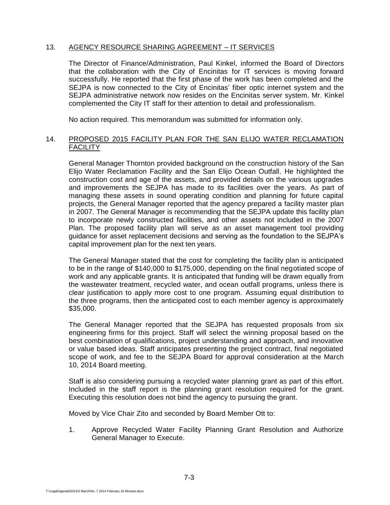# 13. AGENCY RESOURCE SHARING AGREEMENT – IT SERVICES

The Director of Finance/Administration, Paul Kinkel, informed the Board of Directors that the collaboration with the City of Encinitas for IT services is moving forward successfully. He reported that the first phase of the work has been completed and the SEJPA is now connected to the City of Encinitas' fiber optic internet system and the SEJPA administrative network now resides on the Encinitas server system. Mr. Kinkel complemented the City IT staff for their attention to detail and professionalism.

No action required. This memorandum was submitted for information only.

# 14. PROPOSED 2015 FACILITY PLAN FOR THE SAN ELIJO WATER RECLAMATION **FACILITY**

General Manager Thornton provided background on the construction history of the San Elijo Water Reclamation Facility and the San Elijo Ocean Outfall. He highlighted the construction cost and age of the assets, and provided details on the various upgrades and improvements the SEJPA has made to its facilities over the years. As part of managing these assets in sound operating condition and planning for future capital projects, the General Manager reported that the agency prepared a facility master plan in 2007. The General Manager is recommending that the SEJPA update this facility plan to incorporate newly constructed facilities, and other assets not included in the 2007 Plan. The proposed facility plan will serve as an asset management tool providing guidance for asset replacement decisions and serving as the foundation to the SEJPA's capital improvement plan for the next ten years.

The General Manager stated that the cost for completing the facility plan is anticipated to be in the range of \$140,000 to \$175,000, depending on the final negotiated scope of work and any applicable grants. It is anticipated that funding will be drawn equally from the wastewater treatment, recycled water, and ocean outfall programs, unless there is clear justification to apply more cost to one program. Assuming equal distribution to the three programs, then the anticipated cost to each member agency is approximately \$35,000.

The General Manager reported that the SEJPA has requested proposals from six engineering firms for this project. Staff will select the winning proposal based on the best combination of qualifications, project understanding and approach, and innovative or value based ideas. Staff anticipates presenting the project contract, final negotiated scope of work, and fee to the SEJPA Board for approval consideration at the March 10, 2014 Board meeting.

Staff is also considering pursuing a recycled water planning grant as part of this effort. Included in the staff report is the planning grant resolution required for the grant. Executing this resolution does not bind the agency to pursuing the grant.

Moved by Vice Chair Zito and seconded by Board Member Ott to:

1. Approve Recycled Water Facility Planning Grant Resolution and Authorize General Manager to Execute.